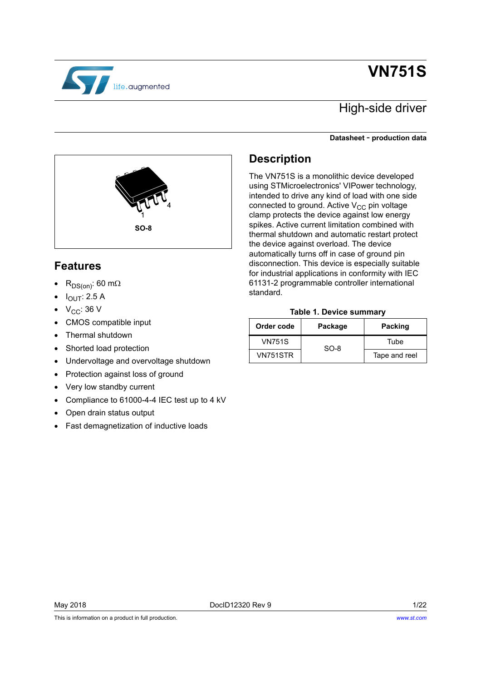# **VN751S**



### High-side driver

#### **Datasheet** - **production data**



### <span id="page-0-1"></span>**Features**

- $R_{DS(on)}$ : 60 m $\Omega$
- $I_{\text{OUT}}$ : 2.5 A
- $\bullet\quad$  V<sub>CC</sub>: 36 V
- CMOS compatible input
- Thermal shutdown
- Shorted load protection
- Undervoltage and overvoltage shutdown
- Protection against loss of ground
- Very low standby current
- Compliance to 61000-4-4 IEC test up to 4 kV
- Open drain status output
- Fast demagnetization of inductive loads

### **Description**

The VN751S is a monolithic device developed using STMicroelectronics' VIPower technology, intended to drive any kind of load with one side connected to ground. Active  $V_{CC}$  pin voltage clamp protects the device against low energy spikes. Active current limitation combined with thermal shutdown and automatic restart protect the device against overload. The device automatically turns off in case of ground pin disconnection. This device is especially suitable for industrial applications in conformity with IEC 61131-2 programmable controller international standard.

#### **Table 1. Device summary**

<span id="page-0-0"></span>

| Order code | Package | <b>Packing</b> |
|------------|---------|----------------|
| VN751S     | $SO-8$  |                |
| VN751STR   |         | Tape and reel  |

This is information on a product in full production.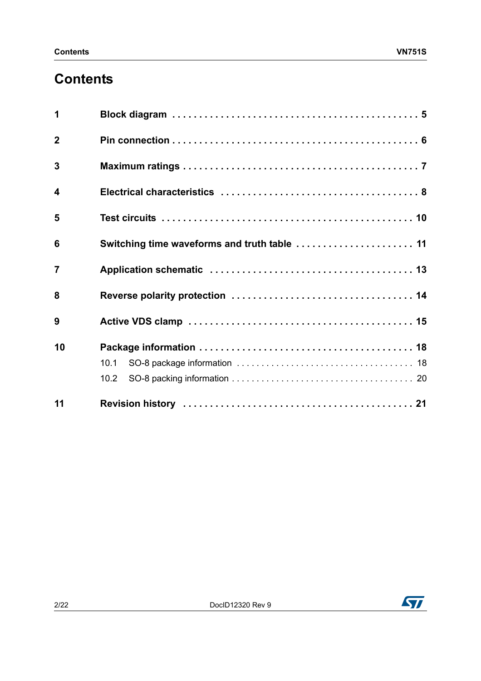## **Contents**

| 11                      |                                              |
|-------------------------|----------------------------------------------|
|                         | 10.2                                         |
|                         | 10.1                                         |
| 10                      |                                              |
| 9                       |                                              |
| 8                       |                                              |
| $\overline{7}$          |                                              |
| 6                       | Switching time waveforms and truth table  11 |
| 5                       |                                              |
| $\overline{\mathbf{4}}$ |                                              |
| 3                       |                                              |
| $\overline{2}$          |                                              |
| 1                       |                                              |

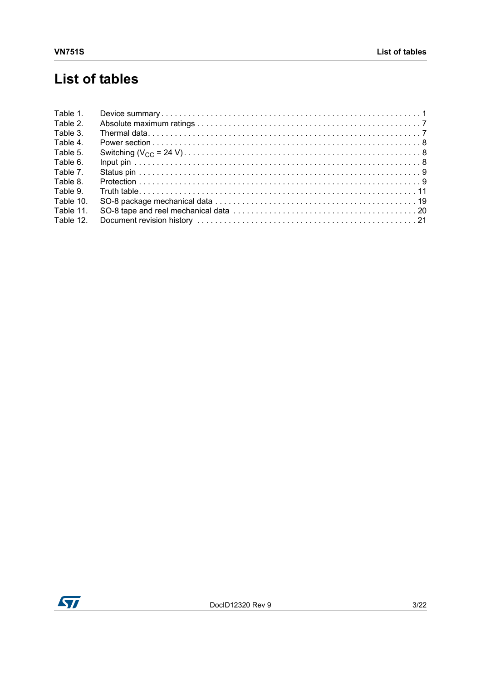## **List of tables**

| Table 1.  |  |
|-----------|--|
| Table 2.  |  |
| Table 3.  |  |
| Table 4.  |  |
| Table 5.  |  |
| Table 6.  |  |
| Table 7.  |  |
| Table 8.  |  |
| Table 9.  |  |
| Table 10. |  |
| Table 11. |  |
| Table 12. |  |

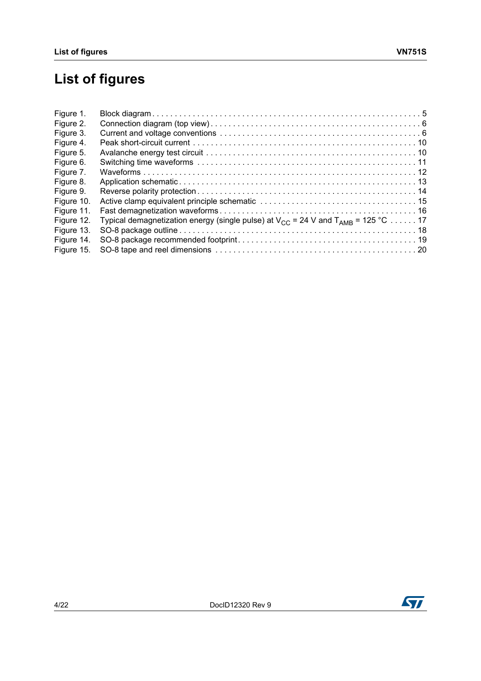# **List of figures**

| Typical demagnetization energy (single pulse) at $V_{CC}$ = 24 V and $T_{AMB}$ = 125 °C  17 |
|---------------------------------------------------------------------------------------------|

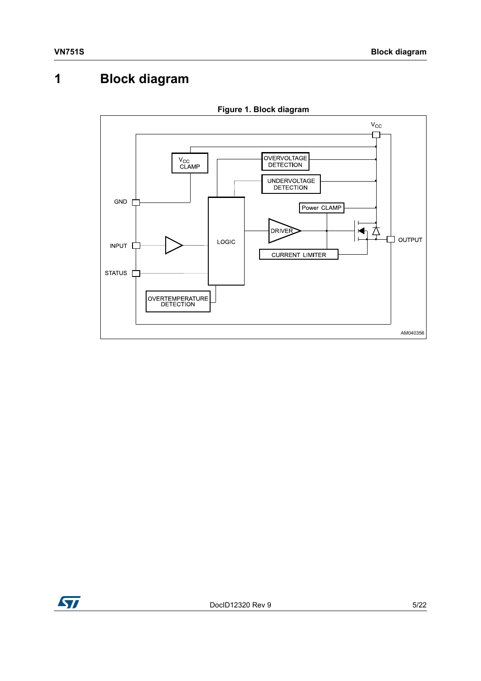## <span id="page-4-0"></span>**1 Block diagram**

<span id="page-4-1"></span>

**Figure 1. Block diagram**

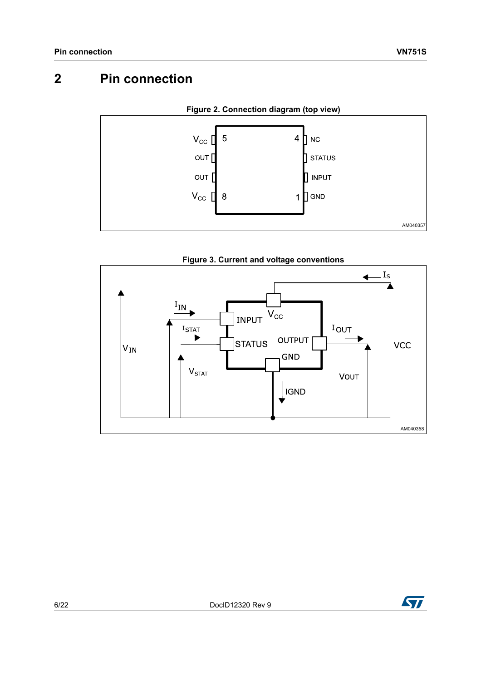## <span id="page-5-0"></span>**2 Pin connection**

<span id="page-5-1"></span>

<span id="page-5-2"></span>



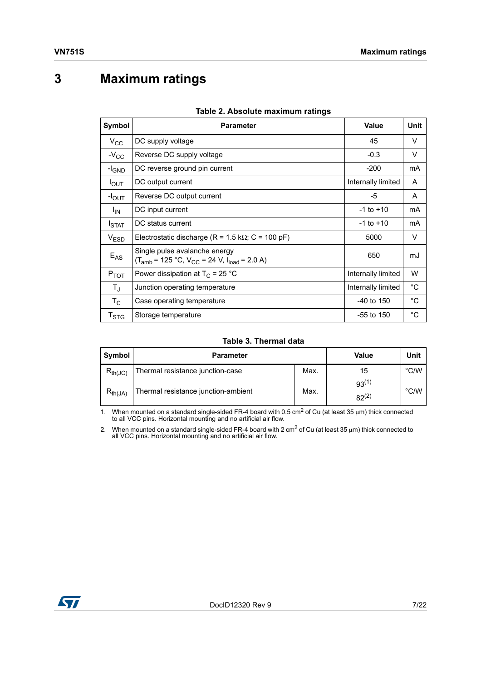## <span id="page-6-0"></span>**3 Maximum ratings**

<span id="page-6-1"></span>

| Symbol                    | <b>Parameter</b>                                                                       | <b>Value</b>       | Unit         |
|---------------------------|----------------------------------------------------------------------------------------|--------------------|--------------|
| $V_{\rm CC}$              | DC supply voltage                                                                      | 45                 | V            |
| $-V_{CC}$                 | Reverse DC supply voltage                                                              | $-0.3$             | V            |
| $-I_{GND}$                | DC reverse ground pin current                                                          | $-200$             | mA           |
| $I_{\text{OUT}}$          | DC output current                                                                      | Internally limited | A            |
| $-I_{\text{OUT}}$         | Reverse DC output current                                                              | -5                 | A            |
| $I_{IN}$                  | DC input current                                                                       | $-1$ to $+10$      | mA           |
| $I_{\text{STAT}}$         | DC status current                                                                      | $-1$ to $+10$      | mA           |
| V <sub>ESD</sub>          | Electrostatic discharge (R = 1.5 k $\Omega$ ; C = 100 pF)                              | 5000               | V            |
| $E_{AS}$                  | Single pulse avalanche energy<br>$(T_{amb} = 125 °C, V_{CC} = 24 V, I_{load} = 2.0 A)$ | 650                | mJ           |
| $P_{TOT}$                 | Power dissipation at $T_c$ = 25 °C                                                     | Internally limited | W            |
| $T_{\rm J}$               | Junction operating temperature                                                         | Internally limited | $^{\circ}$ C |
| $T_{\rm C}$               | Case operating temperature                                                             | $-40$ to 150       | $^{\circ}$ C |
| $\mathsf{T}_{\text{STG}}$ | Storage temperature                                                                    | $-55$ to 150       | $^{\circ}C$  |

#### **Table 2. Absolute maximum ratings**

#### **Table 3. Thermal data**

<span id="page-6-2"></span>

| Symbol       | <b>Parameter</b>                    | Max.<br>Max. | <b>Value</b> | Unit          |
|--------------|-------------------------------------|--------------|--------------|---------------|
| $R_{th(JC)}$ | Thermal resistance junction-case    |              | 15           | $\degree$ C/W |
|              | Thermal resistance junction-ambient |              | $93^{(1)}$   | °C/W          |
| $R_{th(JA)}$ |                                     |              | $82^{(2)}$   |               |

1. When mounted on a standard single-sided FR-4 board with 0.5 cm<sup>2</sup> of Cu (at least 35  $\mu$ m) thick connected to all VCC pins. Horizontal mounting and no artificial air flow.

2. When mounted on a standard single-sided FR-4 board with 2 cm<sup>2</sup> of Cu (at least 35  $\mu$ m) thick connected to all VCC pins. Horizontal mounting and no artificial air flow.

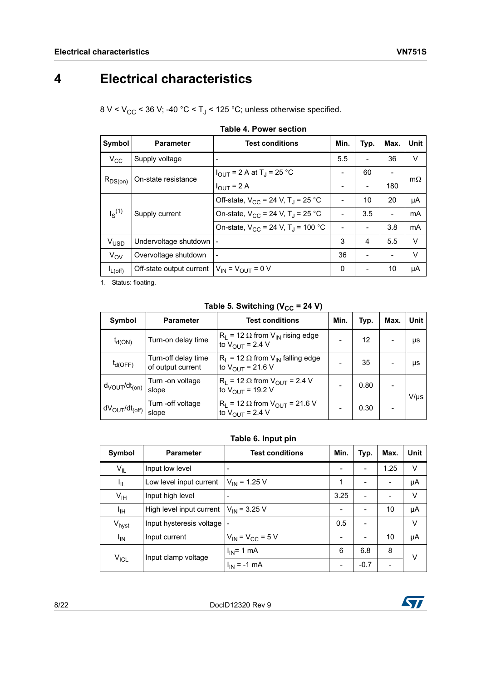## <span id="page-7-0"></span>**4 Electrical characteristics**

8 V <  $V_{CC}$  < 36 V; -40 °C < T<sub>J</sub> < 125 °C; unless otherwise specified.

<span id="page-7-1"></span>

| Symbol           | <b>Parameter</b>                                  | <b>Test conditions</b>                             | Min. | Typ. | Max. | Unit      |
|------------------|---------------------------------------------------|----------------------------------------------------|------|------|------|-----------|
| $V_{CC}$         | Supply voltage                                    |                                                    | 5.5  |      | 36   | V         |
|                  | On-state resistance                               | $I_{OUT}$ = 2 A at T <sub>J</sub> = 25 °C          | -    | 60   |      | $m\Omega$ |
| $R_{DS(on)}$     |                                                   | $I_{OUT}$ = 2 A                                    |      |      | 180  |           |
|                  |                                                   | Off-state, $V_{CC}$ = 24 V, T <sub>J</sub> = 25 °C |      | 10   | 20   | μA        |
| $I_S^{(1)}$      | Supply current                                    | On-state, $V_{CC}$ = 24 V, T <sub>J</sub> = 25 °C  |      | 3.5  |      | mA        |
|                  |                                                   | On-state, $V_{CC}$ = 24 V, T <sub>J</sub> = 100 °C |      |      | 3.8  | mA        |
| V <sub>USD</sub> | Undervoltage shutdown                             |                                                    | 3    | 4    | 5.5  | V         |
| $V_{OV}$         | Overvoltage shutdown                              |                                                    | 36   |      |      | V         |
| $I_{L(off)}$     | Off-state output current $V_{IN} = V_{OUT} = 0 V$ |                                                    | 0    |      | 10   | μA        |

|  |  |  |  | <b>Table 4. Power section</b> |
|--|--|--|--|-------------------------------|
|--|--|--|--|-------------------------------|

1. Status: floating.

Table 5. Switching  $(V_{CC} = 24 V)$ 

<span id="page-7-2"></span>

| Symbol                              | <b>Parameter</b>                         | <b>Test conditions</b>                                                       | Min. | Typ. | Max. | Unit      |
|-------------------------------------|------------------------------------------|------------------------------------------------------------------------------|------|------|------|-----------|
| $t_{d(ON)}$                         | Turn-on delay time                       | $R_1$ = 12 $\Omega$ from $V_{IN}$ rising edge<br>to $V_{\text{OUT}}$ = 2.4 V |      | 12   |      | μs        |
| $t_{d(OFF)}$                        | Turn-off delay time<br>of output current | $R_1$ = 12 $\Omega$ from $V_{IN}$ falling edge<br>to $V_{OUIT}$ = 21.6 V     |      | 35   |      | μs        |
| $d_{\text{VOUT}}/dt_{\text{(on)}}$  | Turn -on voltage<br>slope                | $R_1$ = 12 $\Omega$ from $V_{OUT}$ = 2.4 V<br>to $V_{OUT}$ = 19.2 V          |      | 0.80 |      | $V/\mu s$ |
| $dV_{\text{OUT}}/dt_{\text{(off)}}$ | Turn -off voltage<br>slope               | $R_1$ = 12 $\Omega$ from $V_{OUT}$ = 21.6 V<br>to $V_{OUT}$ = 2.4 V          |      | 0.30 |      |           |

### **Table 6. Input pin**

<span id="page-7-3"></span>

| Symbol            | <b>Parameter</b>         | <b>Test conditions</b>    | Min.                     | Typ.                     | Max.           | Unit   |
|-------------------|--------------------------|---------------------------|--------------------------|--------------------------|----------------|--------|
| $V_{IL}$          | Input low level          |                           | $\overline{\phantom{a}}$ | $\overline{\phantom{0}}$ | 1.25           | $\vee$ |
| I <sub>IL</sub>   | Low level input current  | $V_{IN}$ = 1.25 V         | 1                        | $\overline{\phantom{0}}$ | $\overline{a}$ | μA     |
| V <sub>IH</sub>   | Input high level         |                           | 3.25                     | ٠                        |                | V      |
| ЧH                | High level input current | $V_{IN}$ = 3.25 V         | -                        | $\overline{\phantom{0}}$ | 10             | μA     |
| V <sub>hyst</sub> | Input hysteresis voltage |                           | 0.5                      | $\overline{\phantom{0}}$ |                | $\vee$ |
| $I_{IN}$          | Input current            | $V_{IN}$ = $V_{CC}$ = 5 V | -                        | $\overline{\phantom{0}}$ | 10             | μA     |
|                   |                          | $I_{IN}$ = 1 mA           | 6                        | 6.8                      | 8              | V      |
| $V_{ICL}$         | Input clamp voltage      | $I_{IN}$ = -1 mA          | -                        | $-0.7$                   |                |        |

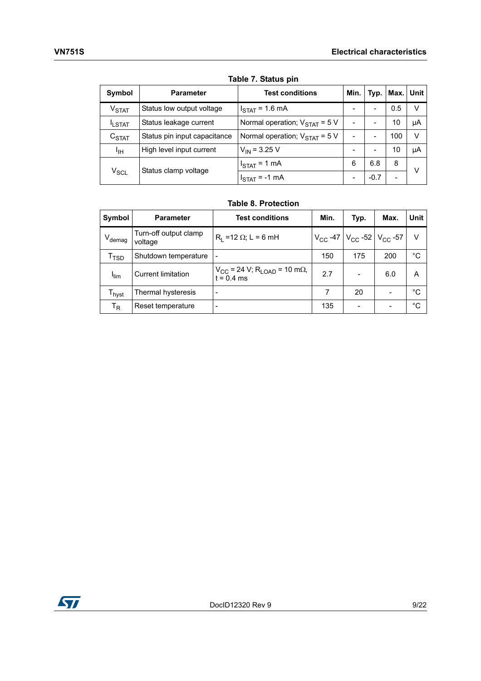<span id="page-8-0"></span>

| Symbol                      | <b>Parameter</b>             | <b>Test conditions</b>                            | Min. |        | Typ.   Max. | Unit |
|-----------------------------|------------------------------|---------------------------------------------------|------|--------|-------------|------|
| V <sub>STAT</sub>           | Status low output voltage    | $ISTAT = 1.6 mA$                                  |      |        | 0.5         | v    |
| <b>ILSTAT</b>               | Status leakage current       | Normal operation; $V_{\text{STAT}} = 5 \text{ V}$ |      |        | 10          | μA   |
| C <sub>STAT</sub>           | Status pin input capacitance | Normal operation; $V_{\text{STAT}} = 5 \text{ V}$ |      |        | 100         | v    |
| Ιщ                          | High level input current     | $V_{IN}$ = 3.25 V                                 |      |        | 10          | μA   |
|                             |                              | $I_{\text{STAT}} = 1 \text{ mA}$                  | 6    | 6.8    | 8           | v    |
| $\mathsf{V}_{\mathsf{SCL}}$ | Status clamp voltage         | $I_{\text{STAT}}$ = -1 mA                         |      | $-0.7$ |             |      |

**Table 7. Status pin**

#### **Table 8. Protection**

<span id="page-8-1"></span>

| Symbol                       | <b>Parameter</b>                 | <b>Test conditions</b>                                               | Min. | Typ.                                                            | Max. | Unit |
|------------------------------|----------------------------------|----------------------------------------------------------------------|------|-----------------------------------------------------------------|------|------|
| $V_{\text{demag}}$           | Turn-off output clamp<br>voltage | $R1$ =12 Ω; L = 6 mH                                                 |      | $V_{\text{CC}}$ -47   $V_{\text{CC}}$ -52   $V_{\text{CC}}$ -57 |      | v    |
| $\mathsf{T}_{\mathsf{TSD}}$  | Shutdown temperature             | $\overline{\phantom{a}}$                                             | 150  | 175                                                             | 200  | °C   |
| <b>I</b> lim                 | <b>Current limitation</b>        | $V_{CC}$ = 24 V; R <sub>LOAD</sub> = 10 m $\Omega$ ,<br>$t = 0.4$ ms | 2.7  |                                                                 | 6.0  | A    |
| $\mathsf{T}_{\mathsf{hyst}}$ | Thermal hysteresis               | $\overline{\phantom{a}}$                                             | 7    | 20                                                              |      | °C   |
| T <sub>R</sub>               | Reset temperature                | $\overline{\phantom{a}}$                                             | 135  |                                                                 |      | °C   |

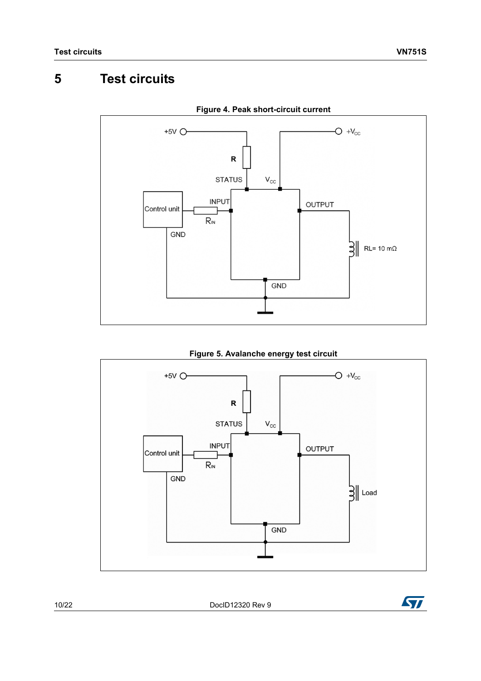## <span id="page-9-0"></span>**5 Test circuits**

<span id="page-9-1"></span>

**Figure 4. Peak short-circuit current**

**Figure 5. Avalanche energy test circuit**

<span id="page-9-2"></span>

10/22 DocID12320 Rev 9

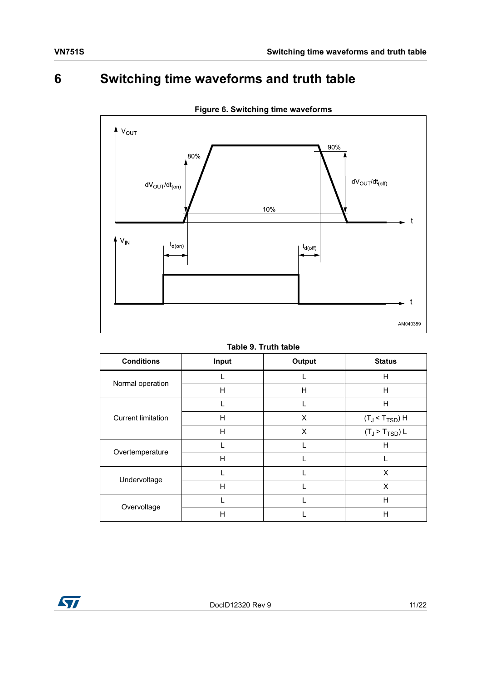## <span id="page-10-0"></span>**6 Switching time waveforms and truth table**

<span id="page-10-2"></span>

**Figure 6. Switching time waveforms**

#### **Table 9. Truth table**

<span id="page-10-1"></span>

| <b>Conditions</b>         | Input | Output | <b>Status</b>              |  |  |
|---------------------------|-------|--------|----------------------------|--|--|
| Normal operation          |       |        | н                          |  |  |
|                           | H     | H      | H                          |  |  |
| <b>Current limitation</b> |       |        | H                          |  |  |
|                           | H     | X      | $(T_J < T_{TSD})$ H        |  |  |
|                           | H     | X      | $(T_J > T_{\text{TSD}}) L$ |  |  |
| Overtemperature           |       |        | H                          |  |  |
|                           | H     |        |                            |  |  |
| Undervoltage              |       |        | X                          |  |  |
|                           | H     |        | X                          |  |  |
| Overvoltage               |       |        | H                          |  |  |
|                           | H     |        | н                          |  |  |

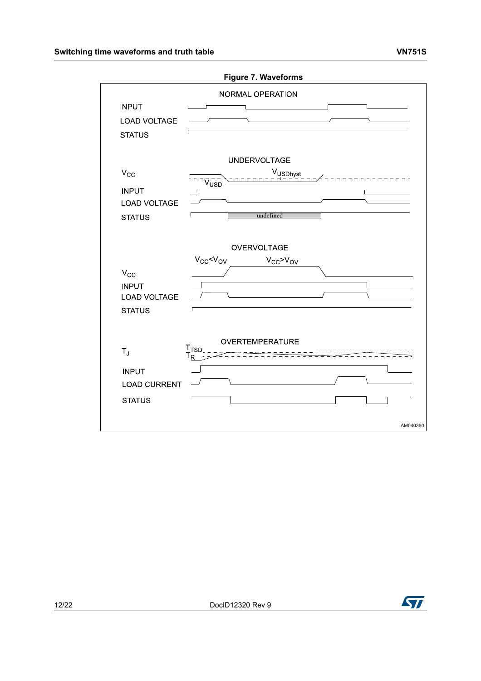<span id="page-11-0"></span>

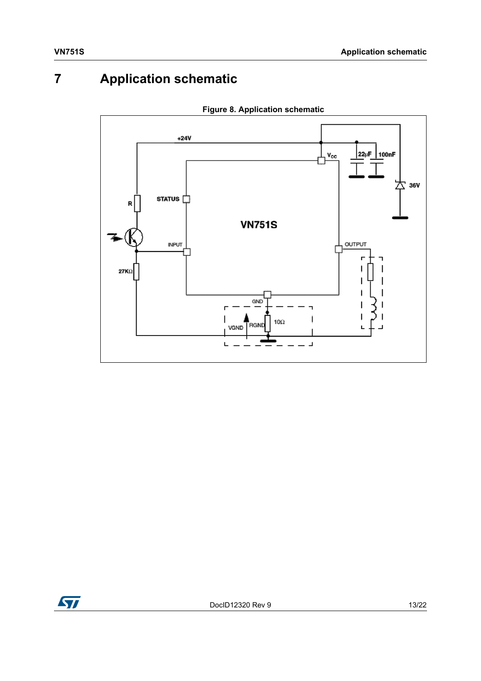## <span id="page-12-0"></span>**7 Application schematic**

<span id="page-12-1"></span>

**Figure 8. Application schematic**

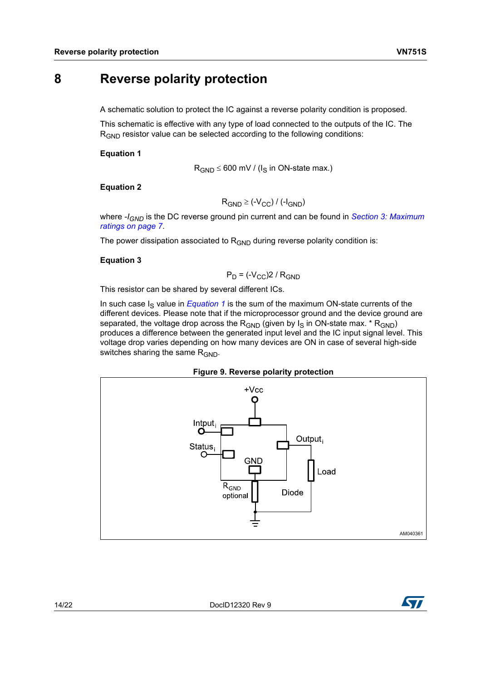### <span id="page-13-0"></span>**8 Reverse polarity protection**

A schematic solution to protect the IC against a reverse polarity condition is proposed.

This schematic is effective with any type of load connected to the outputs of the IC. The R<sub>GND</sub> resistor value can be selected according to the following conditions:

#### <span id="page-13-2"></span>**Equation 1**

$$
R_{GND} \le 600 \text{ mV} / (I_S \text{ in ON-state max.})
$$

#### **Equation 2**

```
R_{GND} \geq (-V_{CC}) / (-I_{GND})
```
where  $-I_{GND}$  is the DC reverse ground pin current and can be found in *Section 3: Maximum [ratings on page 7](#page-6-0)*.

The power dissipation associated to  $R_{GND}$  during reverse polarity condition is:

#### **Equation 3**

$$
P_D = (-V_{CC})2 / R_{GND}
$$

This resistor can be shared by several different ICs.

In such case  $I<sub>S</sub>$  value in *[Equation 1](#page-13-2)* is the sum of the maximum ON-state currents of the different devices. Please note that if the microprocessor ground and the device ground are separated, the voltage drop across the  $R_{GND}$  (given by  $I_S$  in ON-state max. \*  $R_{GND}$ ) produces a difference between the generated input level and the IC input signal level. This voltage drop varies depending on how many devices are ON in case of several high-side switches sharing the same  $R_{GND}$ .



<span id="page-13-1"></span>

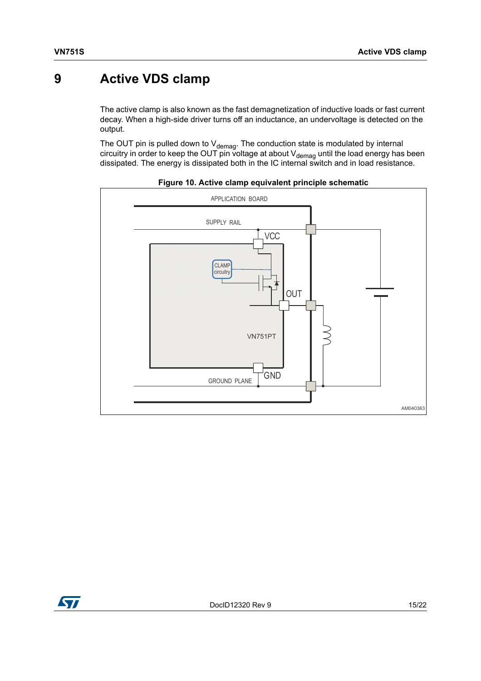### <span id="page-14-0"></span>**9 Active VDS clamp**

The active clamp is also known as the fast demagnetization of inductive loads or fast current decay. When a high-side driver turns off an inductance, an undervoltage is detected on the output.

The OUT pin is pulled down to V<sub>demag</sub>. The conduction state is modulated by internal circuitry in order to keep the OUT pin voltage at about V<sub>demag</sub> until the load energy has been dissipated. The energy is dissipated both in the IC internal switch and in load resistance.

<span id="page-14-1"></span>



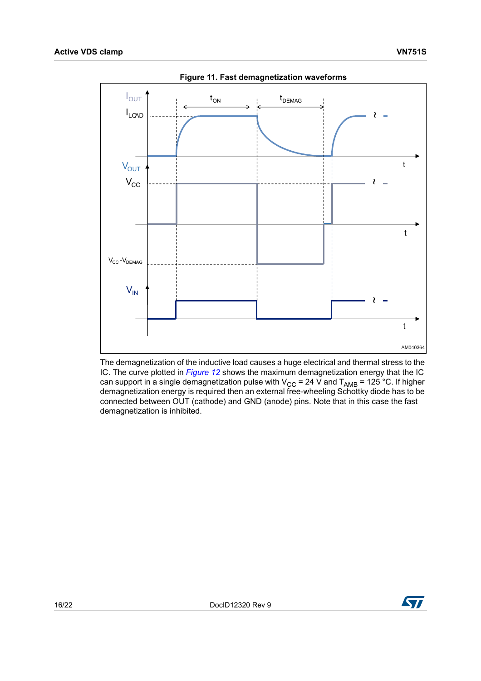<span id="page-15-0"></span>

**Figure 11. Fast demagnetization waveforms**

The demagnetization of the inductive load causes a huge electrical and thermal stress to the IC. The curve plotted in *[Figure 12](#page-16-0)* shows the maximum demagnetization energy that the IC can support in a single demagnetization pulse with V<sub>CC</sub> = 24 V and T<sub>AMB</sub> = 125 °C. If higher demagnetization energy is required then an external free-wheeling Schottky diode has to be connected between OUT (cathode) and GND (anode) pins. Note that in this case the fast demagnetization is inhibited.

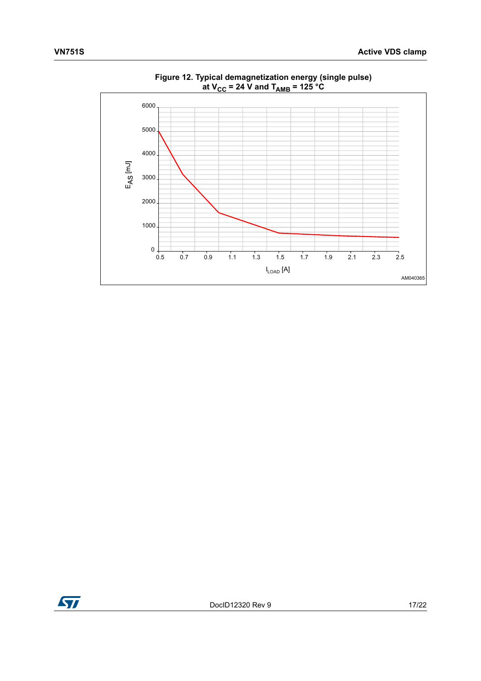<span id="page-16-0"></span>

**Figure 12. Typical demagnetization energy (single pulse) at VCC = 24 V and TAMB = 125 °C**

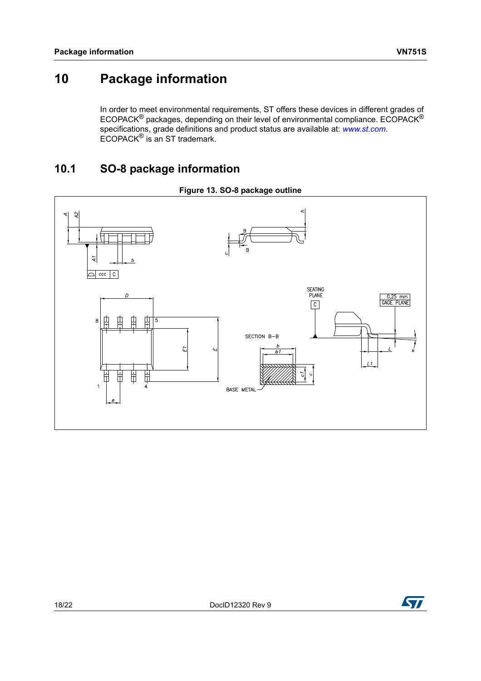### <span id="page-17-0"></span>**10 Package information**

In order to meet environmental requirements, ST offers these devices in different grades of ECOPACK® packages, depending on their level of environmental compliance. ECOPACK® specifications, grade definitions and product status are available at: *[www.st.com](http://www.st.com)*. ECOPACK® is an ST trademark.

### <span id="page-17-1"></span>**10.1 SO-8 package information**

<span id="page-17-2"></span>

**Figure 13. SO-8 package outline**

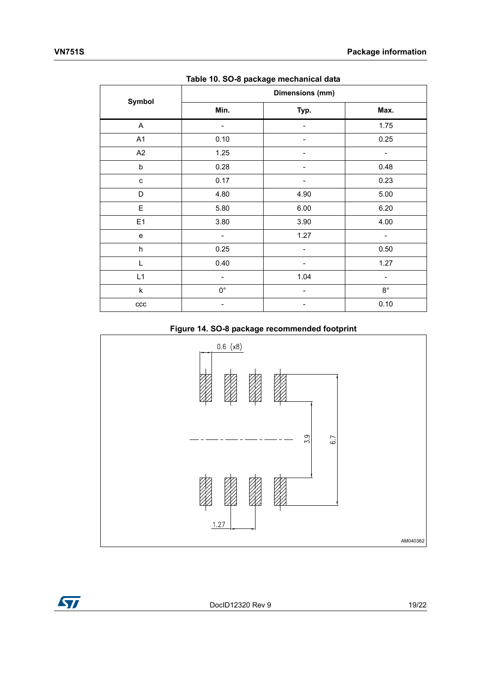<span id="page-18-0"></span>

| rapic To: 00 o package mechanical data |                              |                |             |  |
|----------------------------------------|------------------------------|----------------|-------------|--|
| Symbol                                 | Dimensions (mm)              |                |             |  |
|                                        | Min.                         | Typ.           | Max.        |  |
| A                                      | $\qquad \qquad \blacksquare$ | $\overline{a}$ | 1.75        |  |
| A1                                     | 0.10                         |                | 0.25        |  |
| A2                                     | 1.25                         |                |             |  |
| $\mathsf b$                            | 0.28                         |                | 0.48        |  |
| c                                      | 0.17                         |                | 0.23        |  |
| D                                      | 4.80                         | 4.90           | 5.00        |  |
| E                                      | 5.80                         | 6.00           | 6.20        |  |
| E1                                     | 3.80                         | 3.90           | 4.00        |  |
| e                                      | -                            | 1.27           |             |  |
| $\sf h$                                | 0.25                         |                | 0.50        |  |
| L                                      | 0.40                         |                | 1.27        |  |
| L1                                     | $\overline{\phantom{0}}$     | 1.04           | -           |  |
| $\sf k$                                | $0^{\circ}$                  |                | $8^{\circ}$ |  |
| ccc                                    |                              |                | 0.10        |  |

**Table 10. SO-8 package mechanical data**



<span id="page-18-1"></span>

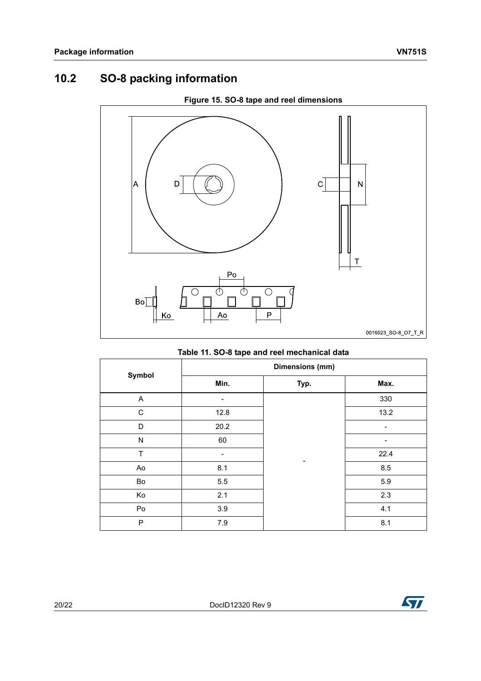### <span id="page-19-0"></span>**10.2 SO-8 packing information**

<span id="page-19-2"></span>

### **Figure 15. SO-8 tape and reel dimensions**

### **Table 11. SO-8 tape and reel mechanical data**

<span id="page-19-1"></span>

| Symbol      | Dimensions (mm) |      |      |  |
|-------------|-----------------|------|------|--|
|             | Min.            | Typ. | Max. |  |
| A           |                 |      | 330  |  |
| $\mathsf C$ | 12.8            |      | 13.2 |  |
| D           | 20.2            |      | -    |  |
| N           | 60              |      | -    |  |
| T           |                 |      | 22.4 |  |
| Ao          | 8.1             |      | 8.5  |  |
| Bo          | 5.5             |      | 5.9  |  |
| Ko          | 2.1             |      | 2.3  |  |
| Po          | 3.9             |      | 4.1  |  |
| P           | 7.9             |      | 8.1  |  |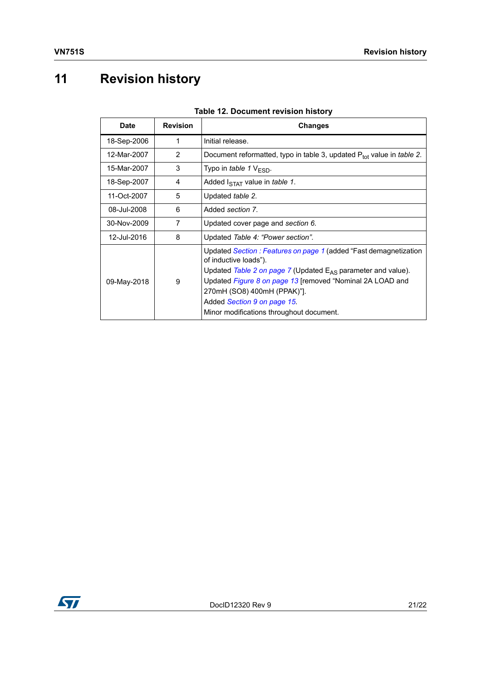# <span id="page-20-0"></span>**11 Revision history**

<span id="page-20-1"></span>

| <b>1996 IL. Document Icylorumotory</b><br><b>Revision</b><br><b>Date</b><br><b>Changes</b> |   |                                                                                                                                                                                                                                                                                                                                        |
|--------------------------------------------------------------------------------------------|---|----------------------------------------------------------------------------------------------------------------------------------------------------------------------------------------------------------------------------------------------------------------------------------------------------------------------------------------|
|                                                                                            |   |                                                                                                                                                                                                                                                                                                                                        |
| 18-Sep-2006                                                                                | 1 | Initial release.                                                                                                                                                                                                                                                                                                                       |
| 12-Mar-2007                                                                                | 2 | Document reformatted, typo in table 3, updated P <sub>tot</sub> value in <i>table 2</i> .                                                                                                                                                                                                                                              |
| 15-Mar-2007                                                                                | 3 | Typo in table 1 $V_{ESD}$ .                                                                                                                                                                                                                                                                                                            |
| 18-Sep-2007                                                                                | 4 | Added I <sub>STAT</sub> value in <i>table 1</i> .                                                                                                                                                                                                                                                                                      |
| 11-Oct-2007                                                                                | 5 | Updated table 2.                                                                                                                                                                                                                                                                                                                       |
| 08-Jul-2008                                                                                | 6 | Added section 7.                                                                                                                                                                                                                                                                                                                       |
| 30-Nov-2009                                                                                | 7 | Updated cover page and section 6.                                                                                                                                                                                                                                                                                                      |
| 12-Jul-2016                                                                                | 8 | Updated Table 4: "Power section".                                                                                                                                                                                                                                                                                                      |
| 09-May-2018                                                                                | 9 | Updated Section : Features on page 1 (added "Fast demagnetization<br>of inductive loads").<br>Updated Table 2 on page 7 (Updated $E_{AS}$ parameter and value).<br>Updated Figure 8 on page 13 [removed "Nominal 2A LOAD and<br>270mH (SO8) 400mH (PPAK)"].<br>Added Section 9 on page 15.<br>Minor modifications throughout document. |